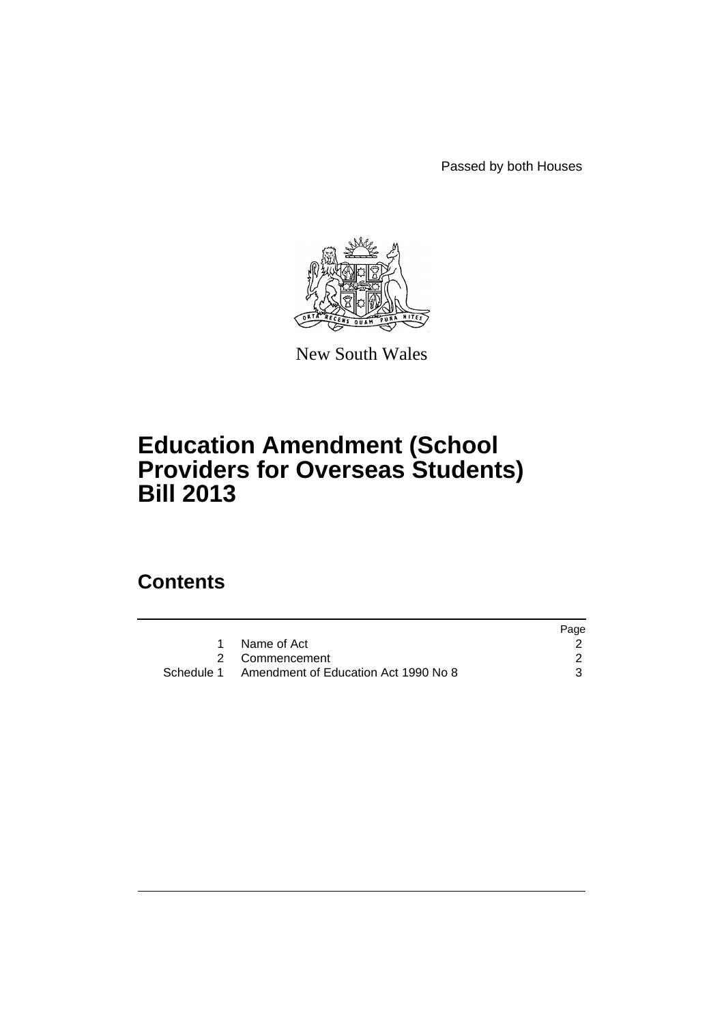Passed by both Houses



New South Wales

# **Education Amendment (School Providers for Overseas Students) Bill 2013**

# **Contents**

|                                                 | Page |
|-------------------------------------------------|------|
| Name of Act                                     |      |
| 2 Commencement                                  |      |
| Schedule 1 Amendment of Education Act 1990 No 8 |      |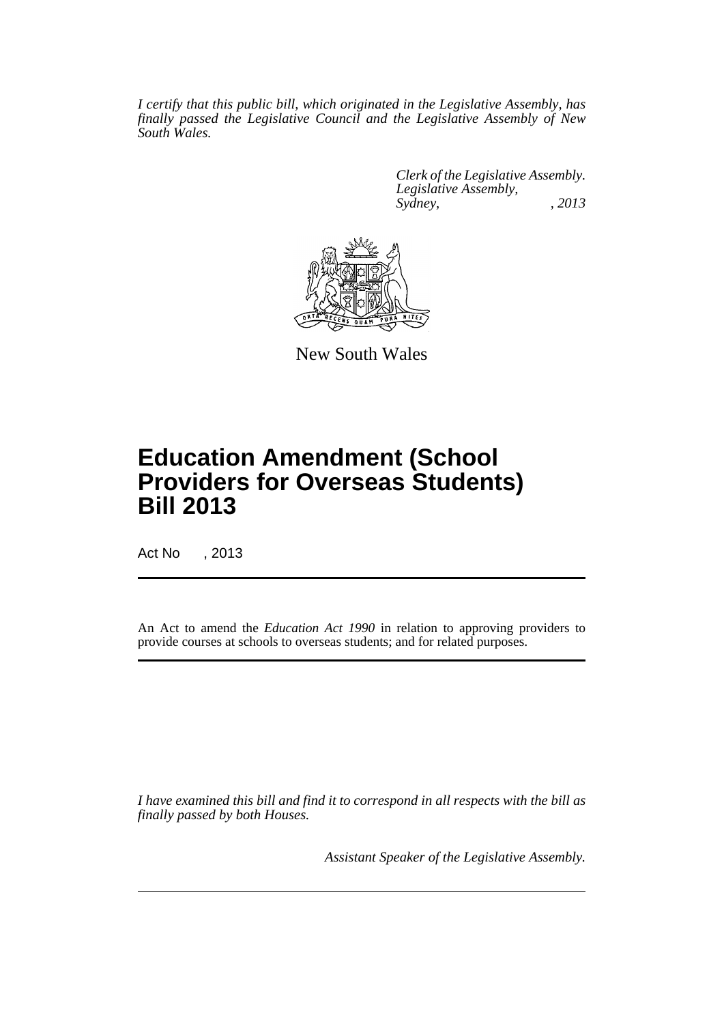*I certify that this public bill, which originated in the Legislative Assembly, has finally passed the Legislative Council and the Legislative Assembly of New South Wales.*

> *Clerk of the Legislative Assembly. Legislative Assembly, Sydney, , 2013*



New South Wales

# **Education Amendment (School Providers for Overseas Students) Bill 2013**

Act No , 2013

An Act to amend the *Education Act 1990* in relation to approving providers to provide courses at schools to overseas students; and for related purposes.

*I have examined this bill and find it to correspond in all respects with the bill as finally passed by both Houses.*

*Assistant Speaker of the Legislative Assembly.*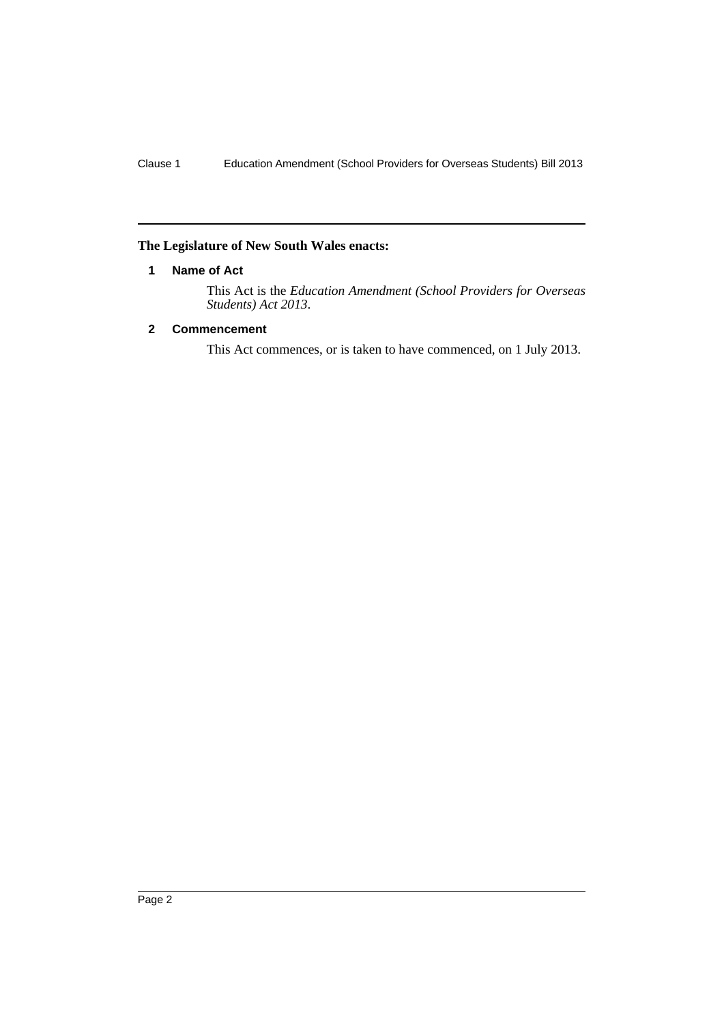## <span id="page-3-0"></span>**The Legislature of New South Wales enacts:**

## **1 Name of Act**

This Act is the *Education Amendment (School Providers for Overseas Students) Act 2013*.

# <span id="page-3-1"></span>**2 Commencement**

This Act commences, or is taken to have commenced, on 1 July 2013.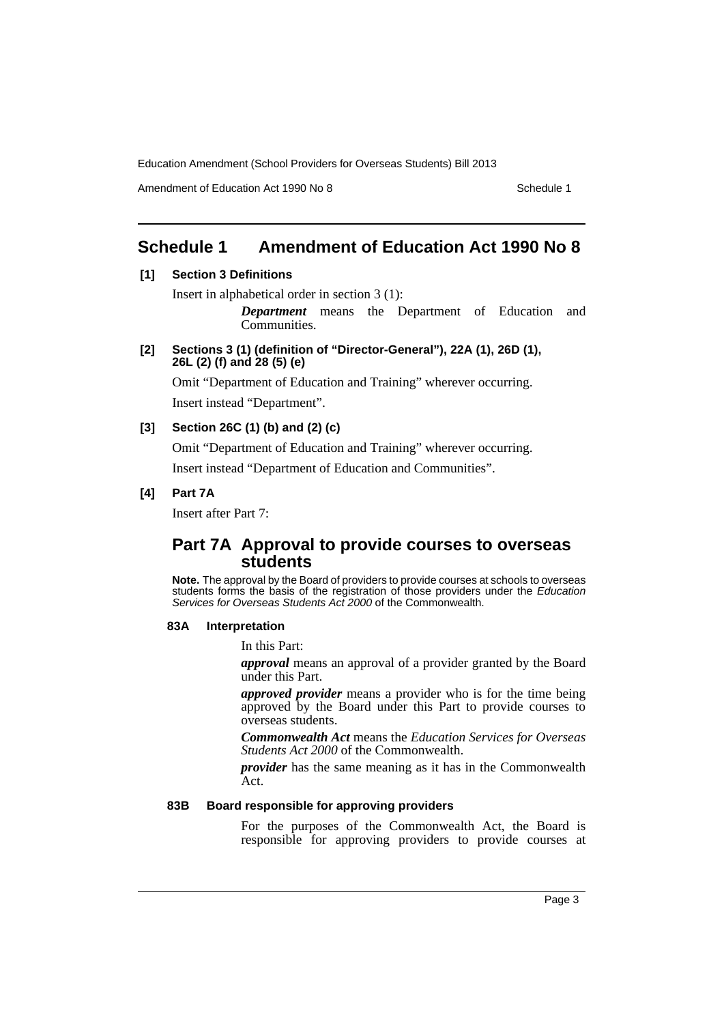Amendment of Education Act 1990 No 8 Schedule 1

# <span id="page-4-0"></span>**Schedule 1 Amendment of Education Act 1990 No 8**

# **[1] Section 3 Definitions**

Insert in alphabetical order in section 3 (1):

*Department* means the Department of Education and Communities.

**[2] Sections 3 (1) (definition of "Director-General"), 22A (1), 26D (1), 26L (2) (f) and 28 (5) (e)**

Omit "Department of Education and Training" wherever occurring. Insert instead "Department".

# **[3] Section 26C (1) (b) and (2) (c)**

Omit "Department of Education and Training" wherever occurring.

Insert instead "Department of Education and Communities".

# **[4] Part 7A**

Insert after Part 7:

# **Part 7A Approval to provide courses to overseas students**

**Note.** The approval by the Board of providers to provide courses at schools to overseas students forms the basis of the registration of those providers under the *Education Services for Overseas Students Act 2000* of the Commonwealth.

## **83A Interpretation**

In this Part:

*approval* means an approval of a provider granted by the Board under this Part.

*approved provider* means a provider who is for the time being approved by the Board under this Part to provide courses to overseas students.

*Commonwealth Act* means the *Education Services for Overseas Students Act 2000* of the Commonwealth.

*provider* has the same meaning as it has in the Commonwealth Act.

#### **83B Board responsible for approving providers**

For the purposes of the Commonwealth Act, the Board is responsible for approving providers to provide courses at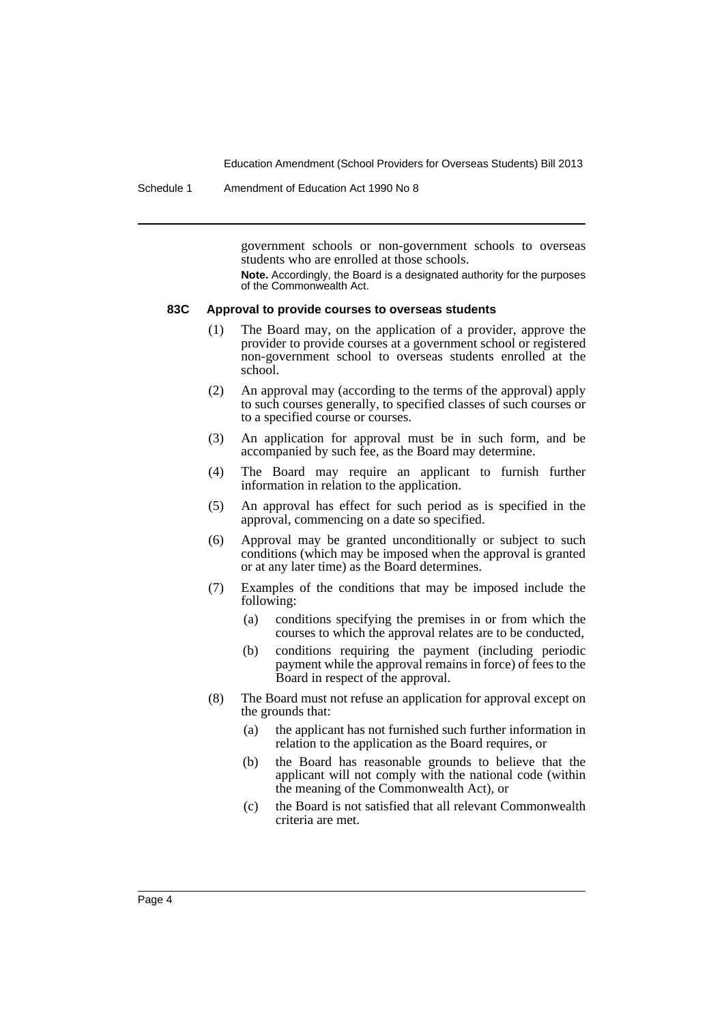Schedule 1 Amendment of Education Act 1990 No 8

government schools or non-government schools to overseas students who are enrolled at those schools.

**Note.** Accordingly, the Board is a designated authority for the purposes of the Commonwealth Act.

#### **83C Approval to provide courses to overseas students**

- (1) The Board may, on the application of a provider, approve the provider to provide courses at a government school or registered non-government school to overseas students enrolled at the school.
- (2) An approval may (according to the terms of the approval) apply to such courses generally, to specified classes of such courses or to a specified course or courses.
- (3) An application for approval must be in such form, and be accompanied by such fee, as the Board may determine.
- (4) The Board may require an applicant to furnish further information in relation to the application.
- (5) An approval has effect for such period as is specified in the approval, commencing on a date so specified.
- (6) Approval may be granted unconditionally or subject to such conditions (which may be imposed when the approval is granted or at any later time) as the Board determines.
- (7) Examples of the conditions that may be imposed include the following:
	- (a) conditions specifying the premises in or from which the courses to which the approval relates are to be conducted,
	- (b) conditions requiring the payment (including periodic payment while the approval remains in force) of fees to the Board in respect of the approval.
- (8) The Board must not refuse an application for approval except on the grounds that:
	- (a) the applicant has not furnished such further information in relation to the application as the Board requires, or
	- (b) the Board has reasonable grounds to believe that the applicant will not comply with the national code (within the meaning of the Commonwealth Act), or
	- (c) the Board is not satisfied that all relevant Commonwealth criteria are met.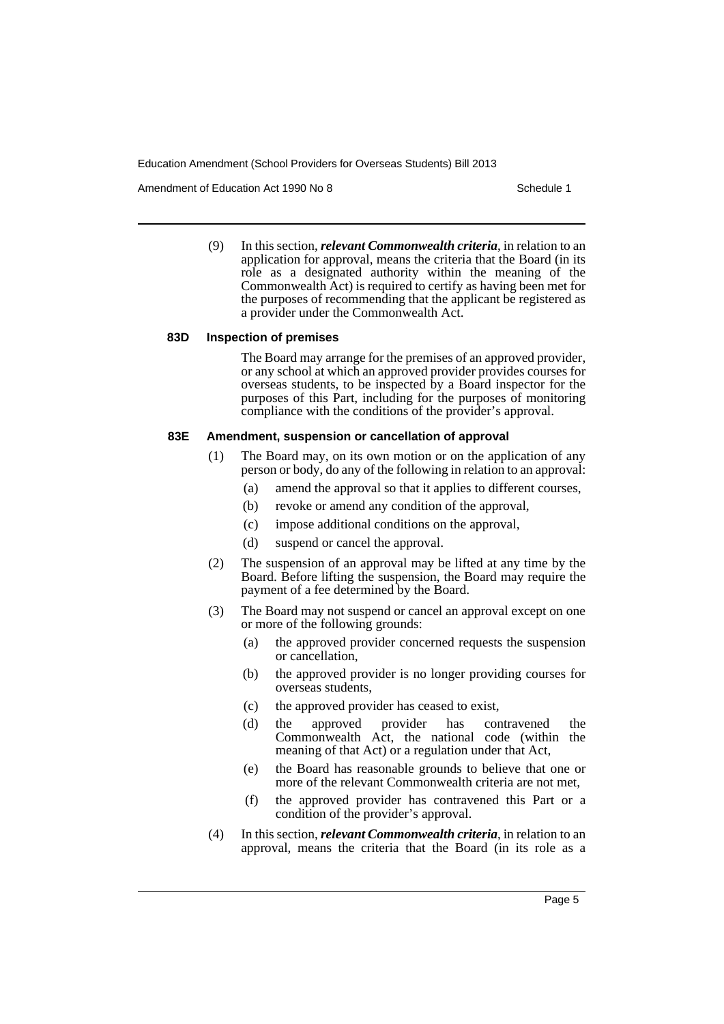Amendment of Education Act 1990 No 8 Schedule 1

(9) In this section, *relevant Commonwealth criteria*, in relation to an application for approval, means the criteria that the Board (in its role as a designated authority within the meaning of the Commonwealth Act) is required to certify as having been met for the purposes of recommending that the applicant be registered as a provider under the Commonwealth Act.

#### **83D Inspection of premises**

The Board may arrange for the premises of an approved provider, or any school at which an approved provider provides courses for overseas students, to be inspected by a Board inspector for the purposes of this Part, including for the purposes of monitoring compliance with the conditions of the provider's approval.

#### **83E Amendment, suspension or cancellation of approval**

- (1) The Board may, on its own motion or on the application of any person or body, do any of the following in relation to an approval:
	- (a) amend the approval so that it applies to different courses,
	- (b) revoke or amend any condition of the approval,
	- (c) impose additional conditions on the approval,
	- (d) suspend or cancel the approval.
- (2) The suspension of an approval may be lifted at any time by the Board. Before lifting the suspension, the Board may require the payment of a fee determined by the Board.
- (3) The Board may not suspend or cancel an approval except on one or more of the following grounds:
	- (a) the approved provider concerned requests the suspension or cancellation,
	- (b) the approved provider is no longer providing courses for overseas students,
	- (c) the approved provider has ceased to exist,
	- (d) the approved provider has contravened the Commonwealth Act, the national code (within the meaning of that Act) or a regulation under that Act,
	- (e) the Board has reasonable grounds to believe that one or more of the relevant Commonwealth criteria are not met,
	- (f) the approved provider has contravened this Part or a condition of the provider's approval.
- (4) In this section, *relevant Commonwealth criteria*, in relation to an approval, means the criteria that the Board (in its role as a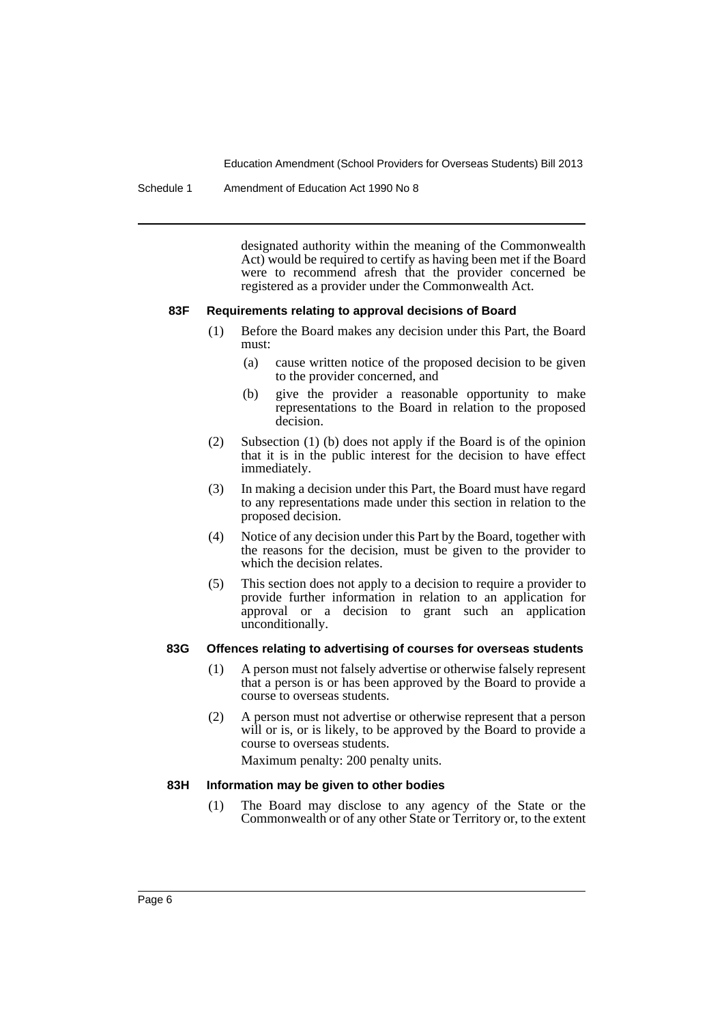Schedule 1 Amendment of Education Act 1990 No 8

designated authority within the meaning of the Commonwealth Act) would be required to certify as having been met if the Board were to recommend afresh that the provider concerned be registered as a provider under the Commonwealth Act.

#### **83F Requirements relating to approval decisions of Board**

- (1) Before the Board makes any decision under this Part, the Board must:
	- (a) cause written notice of the proposed decision to be given to the provider concerned, and
	- (b) give the provider a reasonable opportunity to make representations to the Board in relation to the proposed decision.
- (2) Subsection (1) (b) does not apply if the Board is of the opinion that it is in the public interest for the decision to have effect immediately.
- (3) In making a decision under this Part, the Board must have regard to any representations made under this section in relation to the proposed decision.
- (4) Notice of any decision under this Part by the Board, together with the reasons for the decision, must be given to the provider to which the decision relates.
- (5) This section does not apply to a decision to require a provider to provide further information in relation to an application for approval or a decision to grant such an application unconditionally.

#### **83G Offences relating to advertising of courses for overseas students**

- (1) A person must not falsely advertise or otherwise falsely represent that a person is or has been approved by the Board to provide a course to overseas students.
- (2) A person must not advertise or otherwise represent that a person will or is, or is likely, to be approved by the Board to provide a course to overseas students.

Maximum penalty: 200 penalty units.

#### **83H Information may be given to other bodies**

(1) The Board may disclose to any agency of the State or the Commonwealth or of any other State or Territory or, to the extent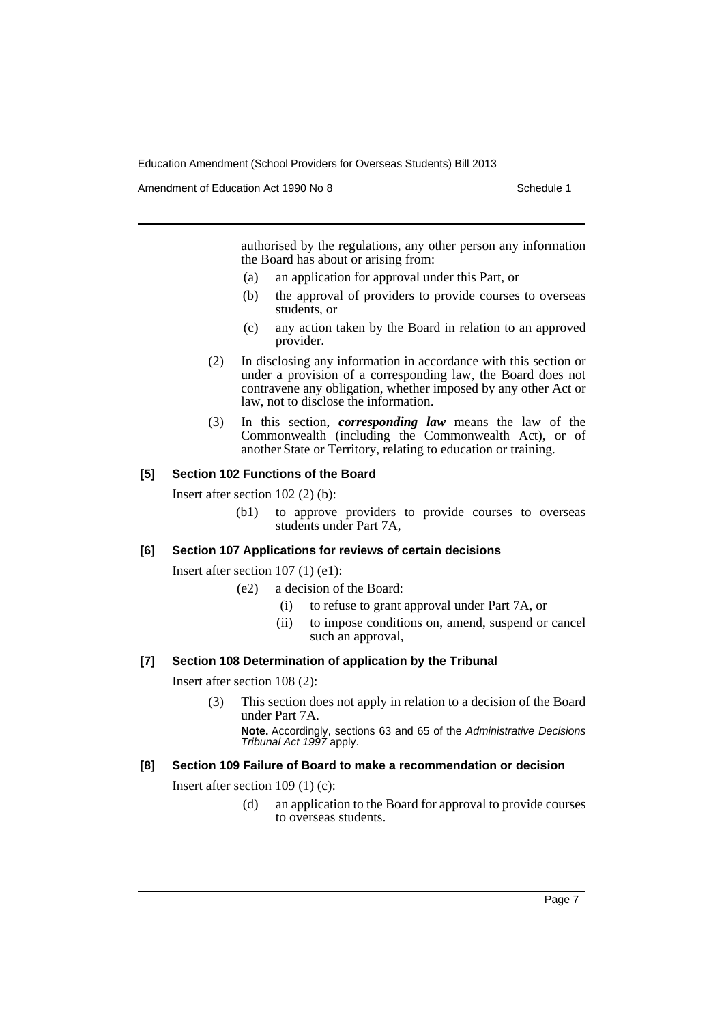Amendment of Education Act 1990 No 8 Schedule 1

authorised by the regulations, any other person any information the Board has about or arising from:

- (a) an application for approval under this Part, or
- (b) the approval of providers to provide courses to overseas students, or
- (c) any action taken by the Board in relation to an approved provider.
- (2) In disclosing any information in accordance with this section or under a provision of a corresponding law, the Board does not contravene any obligation, whether imposed by any other Act or law, not to disclose the information.
- (3) In this section, *corresponding law* means the law of the Commonwealth (including the Commonwealth Act), or of another State or Territory, relating to education or training.

#### **[5] Section 102 Functions of the Board**

Insert after section 102 (2) (b):

(b1) to approve providers to provide courses to overseas students under Part 7A,

#### **[6] Section 107 Applications for reviews of certain decisions**

Insert after section 107 (1) (e1):

- (e2) a decision of the Board:
	- (i) to refuse to grant approval under Part 7A, or
	- (ii) to impose conditions on, amend, suspend or cancel such an approval,

#### **[7] Section 108 Determination of application by the Tribunal**

Insert after section 108 (2):

(3) This section does not apply in relation to a decision of the Board under Part 7A.

**Note.** Accordingly, sections 63 and 65 of the *Administrative Decisions Tribunal Act 1997* apply.

# **[8] Section 109 Failure of Board to make a recommendation or decision**

Insert after section 109 (1) (c):

(d) an application to the Board for approval to provide courses to overseas students.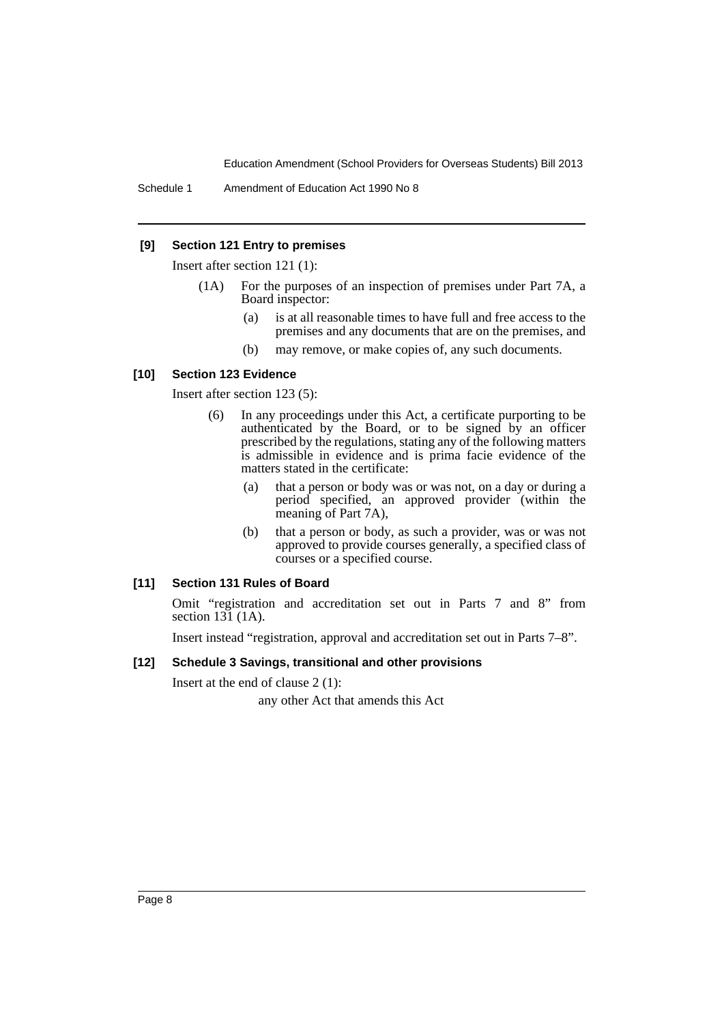## **[9] Section 121 Entry to premises**

Insert after section 121 (1):

- (1A) For the purposes of an inspection of premises under Part 7A, a Board inspector:
	- (a) is at all reasonable times to have full and free access to the premises and any documents that are on the premises, and
	- (b) may remove, or make copies of, any such documents.

## **[10] Section 123 Evidence**

Insert after section 123 (5):

- (6) In any proceedings under this Act, a certificate purporting to be authenticated by the Board, or to be signed by an officer prescribed by the regulations, stating any of the following matters is admissible in evidence and is prima facie evidence of the matters stated in the certificate:
	- (a) that a person or body was or was not, on a day or during a period specified, an approved provider (within the meaning of Part 7A),
	- (b) that a person or body, as such a provider, was or was not approved to provide courses generally, a specified class of courses or a specified course.

#### **[11] Section 131 Rules of Board**

Omit "registration and accreditation set out in Parts 7 and 8" from section 131 (1A).

Insert instead "registration, approval and accreditation set out in Parts 7–8".

#### **[12] Schedule 3 Savings, transitional and other provisions**

Insert at the end of clause 2 (1):

any other Act that amends this Act